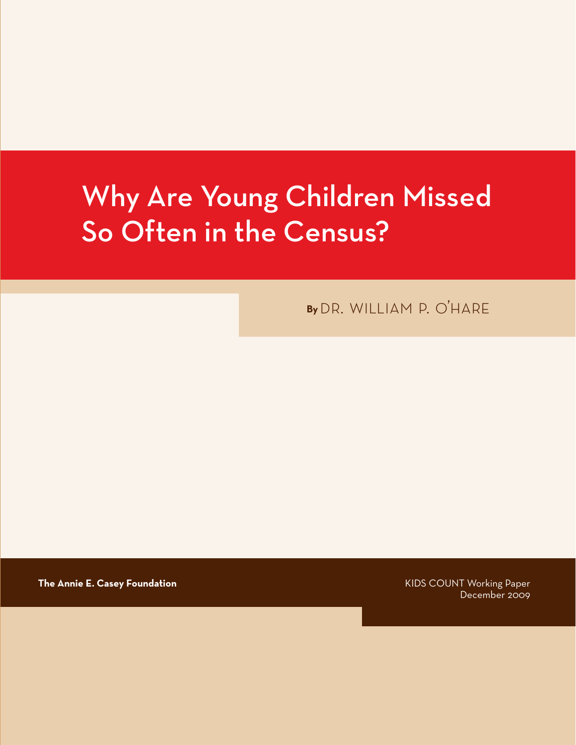# Why Are Young Children Missed So Often in the Census?

**By** dr. william p. o'hare

**The Annie E. Casey Foundation KIDS COUNT Working Paper The Annie E. Casey Foundation** 

December 2009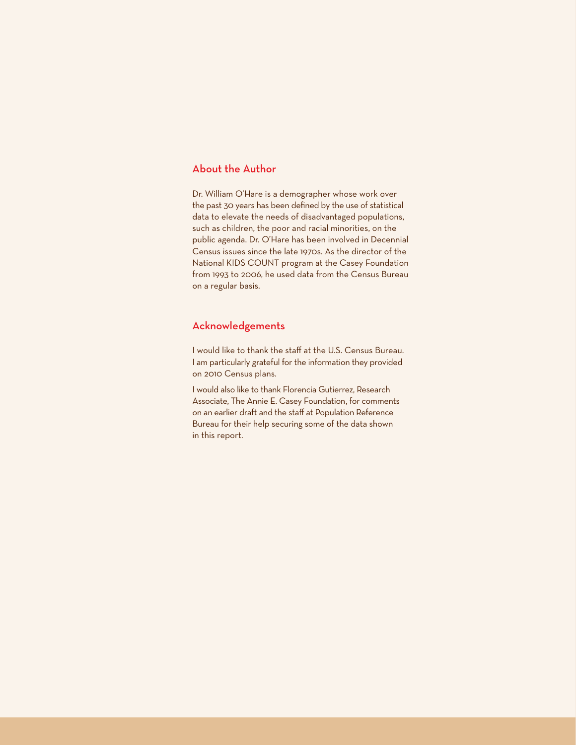#### About the Author

Dr. William O'Hare is a demographer whose work over the past 30 years has been defined by the use of statistical data to elevate the needs of disadvantaged populations, such as children, the poor and racial minorities, on the public agenda. Dr. O'Hare has been involved in Decennial Census issues since the late 1970s. As the director of the National KIDS COUNT program at the Casey Foundation from 1993 to 2006, he used data from the Census Bureau on a regular basis.

#### Acknowledgements

I would like to thank the staff at the U.S. Census Bureau. I am particularly grateful for the information they provided on 2010 Census plans.

I would also like to thank Florencia Gutierrez, Research Associate, The Annie E. Casey Foundation, for comments on an earlier draft and the staff at Population Reference Bureau for their help securing some of the data shown in this report.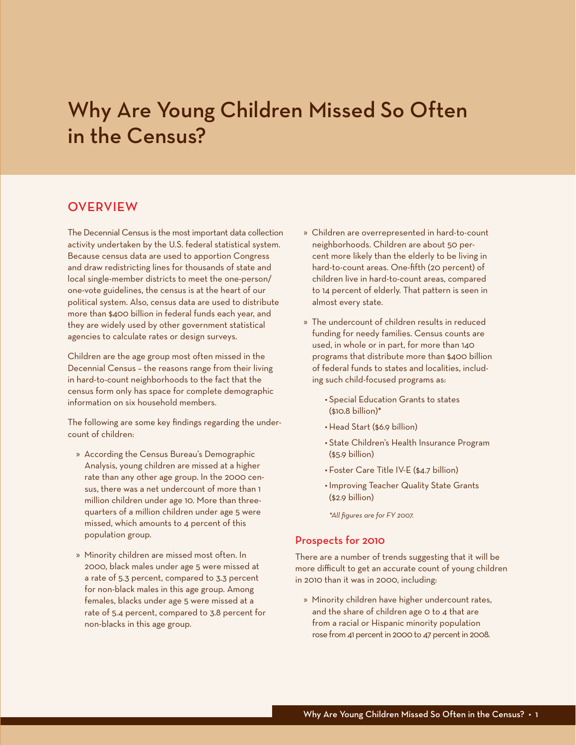## Why Are Young Children Missed So Often in the Census?

#### **OVERVIEW**

The Decennial Census is the most important data collection activity undertaken by the U.S. federal statistical system. Because census data are used to apportion Congress and draw redistricting lines for thousands of state and local single-member districts to meet the one-person/ one-vote guidelines, the census is at the heart of our political system. Also, census data are used to distribute more than \$400 billion in federal funds each year, and they are widely used by other government statistical agencies to calculate rates or design surveys.

Children are the age group most often missed in the Decennial Census – the reasons range from their living in hard-to-count neighborhoods to the fact that the census form only has space for complete demographic information on six household members.

The following are some key findings regarding the undercount of children:

- » According the Census Bureau's Demographic Analysis, young children are missed at a higher rate than any other age group. In the 2000 census, there was a net undercount of more than 1 million children under age 10. More than threequarters of a million children under age 5 were missed, which amounts to 4 percent of this population group.
- » Minority children are missed most often. In 2000, black males under age 5 were missed at a rate of 5.3 percent, compared to 3.3 percent for non-black males in this age group. Among females, blacks under age 5 were missed at a rate of 5.4 percent, compared to 3.8 percent for non-blacks in this age group.
- » Children are overrepresented in hard-to-count neighborhoods. Children are about 50 percent more likely than the elderly to be living in hard-to-count areas. One-fifth (20 percent) of children live in hard-to-count areas, compared to 14 percent of elderly. That pattern is seen in almost every state.
- » The undercount of children results in reduced funding for needy families. Census counts are used, in whole or in part, for more than 140 programs that distribute more than \$400 billion of federal funds to states and localities, including such child-focused programs as:
	- • Special Education Grants to states (\$10.8 billion)\*
	- • Head Start (\$6.9 billion)
	- • State Children's Health Insurance Program (\$5.9 billion)
	- • Foster Care Title IV-E (\$4.7 billion)
	- • Improving Teacher Quality State Grants (\$2.9 billion)

*\*All figures are for FY 2007.*

#### Prospects for 2010

There are a number of trends suggesting that it will be more difficult to get an accurate count of young children in 2010 than it was in 2000, including:

» Minority children have higher undercount rates, and the share of children age 0 to 4 that are from a racial or Hispanic minority population rose from 41 percent in 2000 to 47 percent in 2008.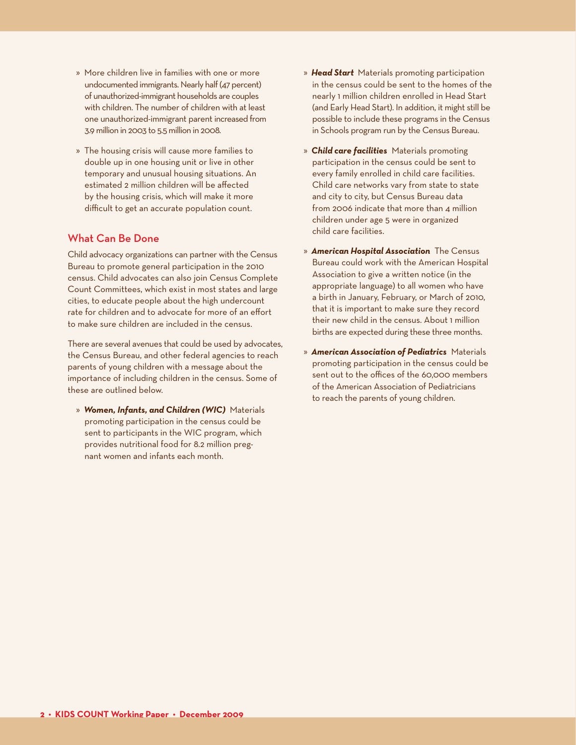- » More children live in families with one or more undocumented immigrants. Nearly half (47 percent) of unauthorized-immigrant households are couples with children. The number of children with at least one unauthorized-immigrant parent increased from 3.9 million in 2003 to 5.5 million in 2008.
- » The housing crisis will cause more families to double up in one housing unit or live in other temporary and unusual housing situations. An estimated 2 million children will be affected by the housing crisis, which will make it more difficult to get an accurate population count.

#### What Can Be Done

Child advocacy organizations can partner with the Census Bureau to promote general participation in the 2010 census. Child advocates can also join Census Complete Count Committees, which exist in most states and large cities, to educate people about the high undercount rate for children and to advocate for more of an effort to make sure children are included in the census.

There are several avenues that could be used by advocates, the Census Bureau, and other federal agencies to reach parents of young children with a message about the importance of including children in the census. Some of these are outlined below.

» *Women, Infants, and Children (WIC)* Materials promoting participation in the census could be sent to participants in the WIC program, which provides nutritional food for 8.2 million pregnant women and infants each month.

- » *Head Start* Materials promoting participation in the census could be sent to the homes of the nearly 1 million children enrolled in Head Start (and Early Head Start). In addition, it might still be possible to include these programs in the Census in Schools program run by the Census Bureau.
- » *Child care facilities* Materials promoting participation in the census could be sent to every family enrolled in child care facilities. Child care networks vary from state to state and city to city, but Census Bureau data from 2006 indicate that more than 4 million children under age 5 were in organized child care facilities.
- » *American Hospital Association* The Census Bureau could work with the American Hospital Association to give a written notice (in the appropriate language) to all women who have a birth in January, February, or March of 2010, that it is important to make sure they record their new child in the census. About 1 million births are expected during these three months.
- » *American Association of Pediatrics* Materials promoting participation in the census could be sent out to the offices of the 60,000 members of the American Association of Pediatricians to reach the parents of young children.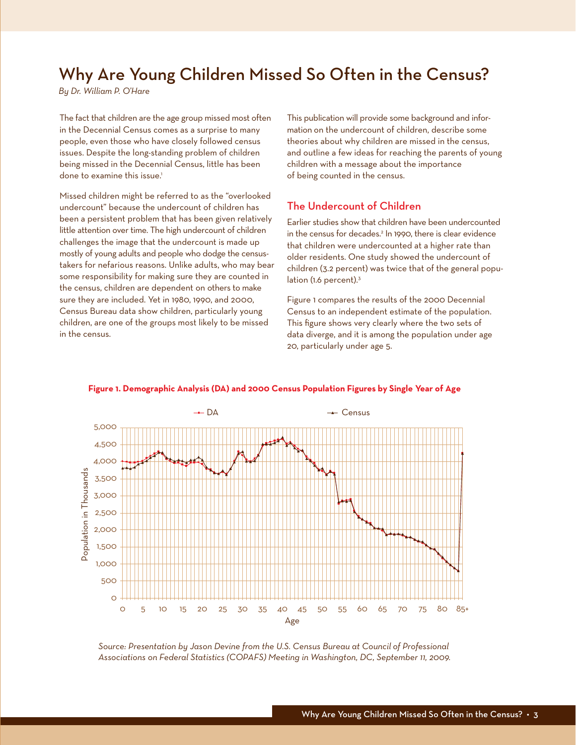### Why Are Young Children Missed So Often in the Census?

*By Dr. William P. O'Hare*

The fact that children are the age group missed most often in the Decennial Census comes as a surprise to many people, even those who have closely followed census issues. Despite the long-standing problem of children being missed in the Decennial Census, little has been done to examine this issue.<sup>1</sup>

Missed children might be referred to as the "overlooked undercount" because the undercount of children has been a persistent problem that has been given relatively little attention over time. The high undercount of children challenges the image that the undercount is made up mostly of young adults and people who dodge the censustakers for nefarious reasons. Unlike adults, who may bear some responsibility for making sure they are counted in the census, children are dependent on others to make sure they are included. Yet in 1980, 1990, and 2000, Census Bureau data show children, particularly young children, are one of the groups most likely to be missed in the census.

This publication will provide some background and information on the undercount of children, describe some theories about why children are missed in the census, and outline a few ideas for reaching the parents of young children with a message about the importance of being counted in the census.

#### The Undercount of Children

Earlier studies show that children have been undercounted in the census for decades.2 In 1990, there is clear evidence that children were undercounted at a higher rate than older residents. One study showed the undercount of children (3.2 percent) was twice that of the general population (1.6 percent).<sup>3</sup>

Figure 1 compares the results of the 2000 Decennial Census to an independent estimate of the population. This figure shows very clearly where the two sets of data diverge, and it is among the population under age 20, particularly under age 5.



#### **Figure 1. Demographic Analysis (DA) and 2000 Census Population Figures by Single Year of Age**

*Source: Presentation by Jason Devine from the U.S. Census Bureau at Council of Professional Associations on Federal Statistics (COPAFS) Meeting in Washington, DC, September 11, 2009.*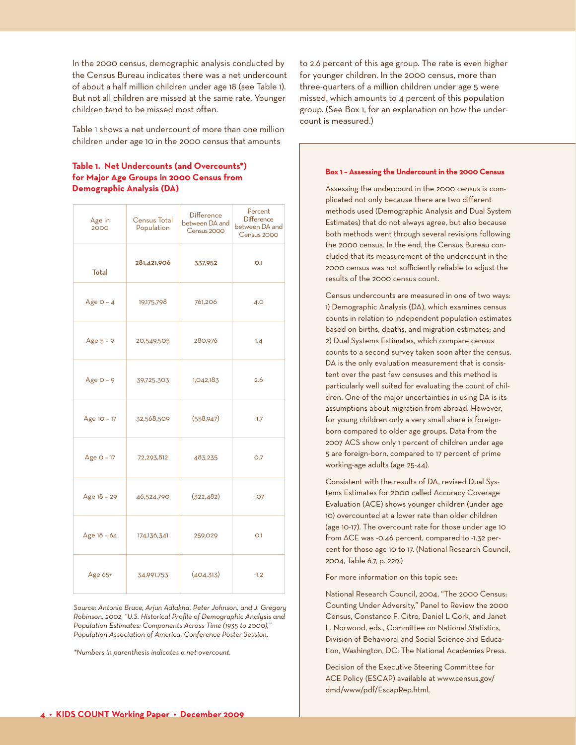In the 2000 census, demographic analysis conducted by the Census Bureau indicates there was a net undercount of about a half million children under age 18 (see Table 1). But not all children are missed at the same rate. Younger children tend to be missed most often.

Table 1 shows a net undercount of more than one million children under age 10 in the 2000 census that amounts

#### **Table 1. Net Undercounts (and Overcounts\*) for Major Age Groups in 2000 Census from Demographic Analysis (DA)**

| Age in<br>2000 | Census Total<br>Population | <b>Difference</b><br>between DA and<br>Census 2000 | Percent<br><b>Difference</b><br>between DA and<br>Census 2000 |
|----------------|----------------------------|----------------------------------------------------|---------------------------------------------------------------|
| Total          | 281,421,906                | 337,952                                            | O.1                                                           |
| Age $O - 4$    | 19,175,798                 | 761,206                                            | 4.0                                                           |
| Age $5 - 9$    | 20,549,505                 | 280,976                                            | 1.4                                                           |
| Age $O - 9$    | 39,725,303                 | 1,042,183                                          | 2.6                                                           |
| Age 10 - 17    | 32,568,509                 | (558, 947)                                         | $-1.7$                                                        |
| Age $O - 17$   | 72,293,812                 | 483,235                                            | O.7                                                           |
| Age 18 - 29    | 46,524,790                 | (322, 482)                                         | $-0.07$                                                       |
| Age 18 - 64    | 174,136,341                | 259,029                                            | O.1                                                           |
| Age 65+        | 34,991,753                 | (404, 313)                                         | $-1.2$                                                        |

*Source: Antonio Bruce, Arjun Adlakha, Peter Johnson, and J. Gregory Robinson, 2002, "U.S. Historical Profile of Demographic Analysis and Population Estimates: Components Across Time (1935 to 2000)," Population Association of America, Conference Poster Session.*

*\*Numbers in parenthesis indicates a net overcount.*

to 2.6 percent of this age group. The rate is even higher for younger children. In the 2000 census, more than three-quarters of a million children under age 5 were missed, which amounts to 4 percent of this population group. (See Box 1, for an explanation on how the undercount is measured.)

#### **Box 1 – Assessing the Undercount in the 2000 Census**

Assessing the undercount in the 2000 census is complicated not only because there are two different methods used (Demographic Analysis and Dual System Estimates) that do not always agree, but also because both methods went through several revisions following the 2000 census. In the end, the Census Bureau concluded that its measurement of the undercount in the 2000 census was not sufficiently reliable to adjust the results of the 2000 census count.

Census undercounts are measured in one of two ways: 1) Demographic Analysis (DA), which examines census counts in relation to independent population estimates based on births, deaths, and migration estimates; and 2) Dual Systems Estimates, which compare census counts to a second survey taken soon after the census. DA is the only evaluation measurement that is consistent over the past few censuses and this method is particularly well suited for evaluating the count of children. One of the major uncertainties in using DA is its assumptions about migration from abroad. However, for young children only a very small share is foreignborn compared to older age groups. Data from the 2007 ACS show only 1 percent of children under age 5 are foreign-born, compared to 17 percent of prime working-age adults (age 25-44).

Consistent with the results of DA, revised Dual Systems Estimates for 2000 called Accuracy Coverage Evaluation (ACE) shows younger children (under age 10) overcounted at a lower rate than older children (age 10-17). The overcount rate for those under age 10 from ACE was -0.46 percent, compared to -1.32 percent for those age 10 to 17. (National Research Council, 2004, Table 6.7, p. 229.)

For more information on this topic see:

National Research Council, 2004, "The 2000 Census: Counting Under Adversity," Panel to Review the 2000 Census, Constance F. Citro, Daniel L Cork, and Janet L. Norwood, eds., Committee on National Statistics, Division of Behavioral and Social Science and Education, Washington, DC: The National Academies Press.

Decision of the Executive Steering Committee for ACE Policy (ESCAP) available at www.census.gov/ dmd/www/pdf/EscapRep.html.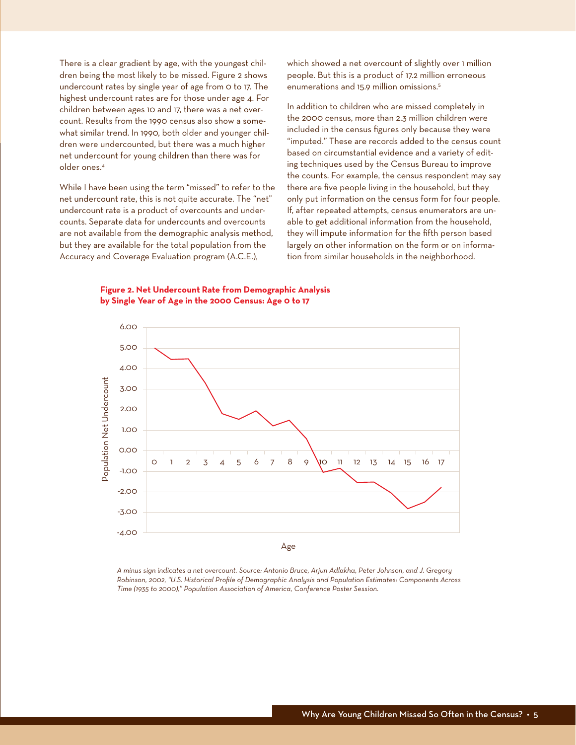There is a clear gradient by age, with the youngest children being the most likely to be missed. Figure 2 shows undercount rates by single year of age from 0 to 17. The highest undercount rates are for those under age 4. For children between ages 10 and 17, there was a net overcount. Results from the 1990 census also show a somewhat similar trend. In 1990, both older and younger children were undercounted, but there was a much higher net undercount for young children than there was for older ones.4

While I have been using the term "missed" to refer to the net undercount rate, this is not quite accurate. The "net" undercount rate is a product of overcounts and undercounts. Separate data for undercounts and overcounts are not available from the demographic analysis method, but they are available for the total population from the Accuracy and Coverage Evaluation program (A.C.E.),

which showed a net overcount of slightly over 1 million people. But this is a product of 17.2 million erroneous enumerations and 15.9 million omissions.5

In addition to children who are missed completely in the 2000 census, more than 2.3 million children were included in the census figures only because they were "imputed." These are records added to the census count based on circumstantial evidence and a variety of editing techniques used by the Census Bureau to improve the counts. For example, the census respondent may say there are five people living in the household, but they only put information on the census form for four people. If, after repeated attempts, census enumerators are unable to get additional information from the household, they will impute information for the fifth person based largely on other information on the form or on information from similar households in the neighborhood.





*A minus sign indicates a net overcount. Source: Antonio Bruce, Arjun Adlakha, Peter Johnson, and J. Gregory Robinson, 2002, "U.S. Historical Profile of Demographic Analysis and Population Estimates: Components Across Time (1935 to 2000)," Population Association of America, Conference Poster Session.*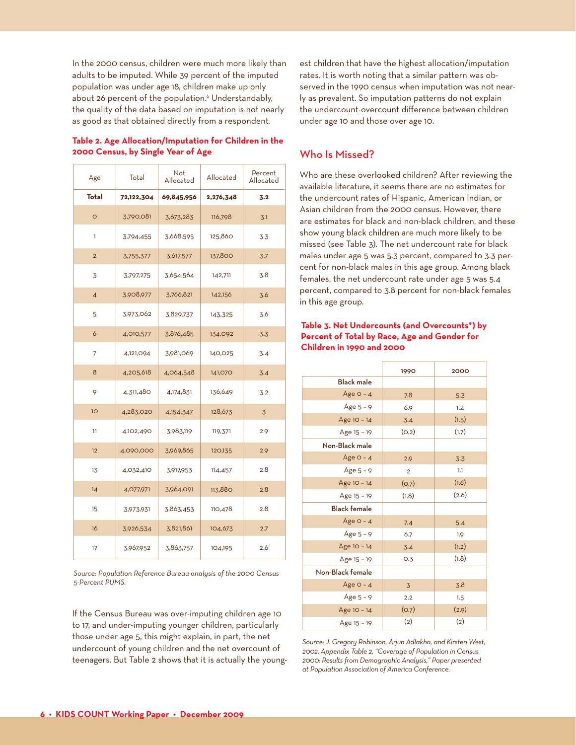In the 2000 census, children were much more likely than adults to be imputed. While 39 percent of the imputed population was under age 18, children make up only about 26 percent of the population.<sup>6</sup> Understandably, the quality of the data based on imputation is not nearly as good as that obtained directly from a respondent.

|  | Table 2. Age Allocation/Imputation for Children in the |  |  |
|--|--------------------------------------------------------|--|--|
|  | 2000 Census, by Single Year of Age                     |  |  |

| Age             | Total      | Not<br>Allocated | Allocated | Percent<br>Allocated |
|-----------------|------------|------------------|-----------|----------------------|
| Total           | 72,122,304 | 69,845,956       | 2,276,348 | 3.2                  |
| $\circ$         | 3,790,081  | 3,673,283        | 116,798   | 3.1                  |
| ı               | 3,794,455  | 3,668,595        | 125,860   | 3.3                  |
| $\overline{2}$  | 3,755,377  | 3,617,577        | 137,800   | 3.7                  |
| 3               | 3,797,275  | 3,654,564        | 142,711   | 3.8                  |
| $\overline{4}$  | 3,908,977  | 3,766,821        | 142,156   | 3.6                  |
| 5               | 3,973,062  | 3,829,737        | 143,325   | 3.6                  |
| 6               | 4,010,577  | 3,876,485        | 134,092   | 3.3                  |
| 7               | 4,121,094  | 3,981,069        | 140,025   | 3.4                  |
| 8               | 4,205,618  | 4,064,548        | 141,070   | 3.4                  |
| 9               | 4,311,480  | 4,174,831        | 136,649   | 3.2                  |
| 10 <sup>o</sup> | 4,283,020  | 4,154,347        | 128,673   | 3                    |
| 11              | 4,102,490  | 3,983,119        | 119,371   | 2.9                  |
| 12              | 4,090,000  | 3,969,865        | 120,135   | 2.9                  |
| 13              | 4,032,410  | 3,917,953        | 114,457   | 2.8                  |
| 14              | 4,077,971  | 3,964,091        | 113,880   | 2.8                  |
| 15              | 3,973,931  | 3,863,453        | 110,478   | 2.8                  |
| 16              | 3,926,534  | 3,821,861        | 104,673   | 2.7                  |
| 17              | 3,967,952  | 3,863,757        | 104,195   | 2.6                  |

*Source: Population Reference Bureau analysis of the 2000 Census 5-Percent PUMS.*

If the Census Bureau was over-imputing children age 10 to 17, and under-imputing younger children, particularly those under age 5, this might explain, in part, the net undercount of young children and the net overcount of teenagers. But Table 2 shows that it is actually the youngest children that have the highest allocation/imputation rates. It is worth noting that a similar pattern was observed in the 1990 census when imputation was not nearly as prevalent. So imputation patterns do not explain the undercount-overcount difference between children under age 10 and those over age 10.

#### Who Is Missed?

Who are these overlooked children? After reviewing the available literature, it seems there are no estimates for the undercount rates of Hispanic, American Indian, or Asian children from the 2000 census. However, there are estimates for black and non-black children, and these show young black children are much more likely to be missed (see Table 3). The net undercount rate for black males under age 5 was 5.3 percent, compared to 3.3 percent for non-black males in this age group. Among black females, the net undercount rate under age 5 was 5.4 percent, compared to 3.8 percent for non-black females in this age group.

#### **Table 3. Net Undercounts (and Overcounts\*) by Percent of Total by Race, Age and Gender for Children in 1990 and 2000**

|                     | 1990           | 2000  |
|---------------------|----------------|-------|
| <b>Black male</b>   |                |       |
| Age $O - 4$         | 7.8            | 5.3   |
| Age $5 - 9$         | 6.9            | 1.4   |
| Age 10 - 14         | 3.4            | (1.5) |
| Age 15 - 19         | (O.2)          | (1.7) |
| Non-Black male      |                |       |
| Age $O - 4$         | 2.9            | 3.3   |
| Age $5 - 9$         | $\overline{2}$ | 1.1   |
| Age 10 - 14         | (O.7)          | (1.6) |
| Age 15 - 19         | (1.8)          | (2.6) |
| <b>Black female</b> |                |       |
| Age $O - 4$         | 7.4            | 5.4   |
| Age $5 - 9$         | 6.7            | 1.9   |
| Age 10 - 14         | 3.4            | (1.2) |
| Age 15 - 19         | O.3            | (1.8) |
| Non-Black female    |                |       |
| Age $O - 4$         | 3              | 3.8   |
| Age $5 - 9$         | 2.2            | 1.5   |
| Age 10 - 14         | (O.7)          | (2.9) |
| Age 15 - 19         | (2)            | (2)   |

*Source: J. Gregory Robinson, Arjun Adlakha, and Kirsten West, 2002, Appendix Table 2, "Coverage of Population in Census 2000: Results from Demographic Analysis," Paper presented at Population Association of America Conference.*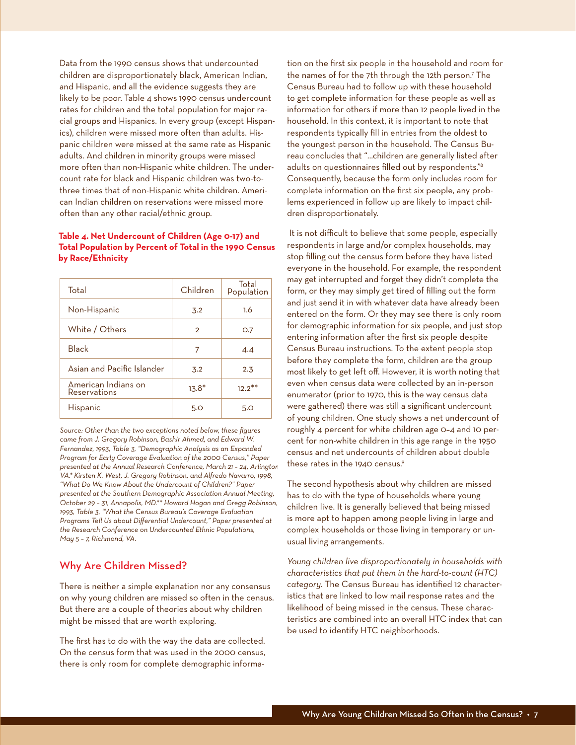Data from the 1990 census shows that undercounted children are disproportionately black, American Indian, and Hispanic, and all the evidence suggests they are likely to be poor. Table 4 shows 1990 census undercount rates for children and the total population for major racial groups and Hispanics. In every group (except Hispanics), children were missed more often than adults. Hispanic children were missed at the same rate as Hispanic adults. And children in minority groups were missed more often than non-Hispanic white children. The undercount rate for black and Hispanic children was two-tothree times that of non-Hispanic white children. American Indian children on reservations were missed more often than any other racial/ethnic group.

#### **Table 4. Net Undercount of Children (Age 0-17) and Total Population by Percent of Total in the 1990 Census by Race/Ethnicity**

| Total                               | Children       | Total<br>Population |
|-------------------------------------|----------------|---------------------|
| Non-Hispanic                        | 3.2            | 1.6                 |
| White / Others                      | $\overline{2}$ | O.7                 |
| <b>Black</b>                        | 7              | 4.4                 |
| Asian and Pacific Islander          | 3.2            | 2.3                 |
| American Indians on<br>Reservations | $13.8*$        | $12.2***$           |
| Hispanic                            | 5.0            | 5.O                 |

*Source: Other than the two exceptions noted below, these figures came from J. Gregory Robinson, Bashir Ahmed, and Edward W. Fernandez, 1993, Table 3, "Demographic Analysis as an Expanded Program for Early Coverage Evaluation of the 2000 Census," Paper presented at the Annual Research Conference, March 21 – 24, Arlington, VA.\* Kirsten K. West, J. Gregory Robinson, and Alfredo Navarro, 1998, "What Do We Know About the Undercount of Children?" Paper presented at the Southern Demographic Association Annual Meeting, October 29 – 31, Annapolis, MD.\*\* Howard Hogan and Gregg Robinson, 1993, Table 3, "What the Census Bureau's Coverage Evaluation Programs Tell Us about Differential Undercount," Paper presented at the Research Conference on Undercounted Ethnic Populations, May 5 – 7, Richmond, VA.*

#### Why Are Children Missed?

There is neither a simple explanation nor any consensus on why young children are missed so often in the census. But there are a couple of theories about why children might be missed that are worth exploring.

The first has to do with the way the data are collected. On the census form that was used in the 2000 census, there is only room for complete demographic informa-

tion on the first six people in the household and room for the names of for the 7th through the 12th person.7 The Census Bureau had to follow up with these household to get complete information for these people as well as information for others if more than 12 people lived in the household. In this context, it is important to note that respondents typically fill in entries from the oldest to the youngest person in the household. The Census Bureau concludes that "…children are generally listed after adults on questionnaires filled out by respondents."8 Consequently, because the form only includes room for complete information on the first six people, any problems experienced in follow up are likely to impact children disproportionately.

 It is not difficult to believe that some people, especially respondents in large and/or complex households, may stop filling out the census form before they have listed everyone in the household. For example, the respondent may get interrupted and forget they didn't complete the form, or they may simply get tired of filling out the form and just send it in with whatever data have already been entered on the form. Or they may see there is only room for demographic information for six people, and just stop entering information after the first six people despite Census Bureau instructions. To the extent people stop before they complete the form, children are the group most likely to get left off. However, it is worth noting that even when census data were collected by an in-person enumerator (prior to 1970, this is the way census data were gathered) there was still a significant undercount of young children. One study shows a net undercount of roughly 4 percent for white children age 0–4 and 10 percent for non-white children in this age range in the 1950 census and net undercounts of children about double these rates in the 1940 census.<sup>9</sup>

The second hypothesis about why children are missed has to do with the type of households where young children live. It is generally believed that being missed is more apt to happen among people living in large and complex households or those living in temporary or unusual living arrangements.

*Young children live disproportionately in households with characteristics that put them in the hard-to-count (HTC) category.* The Census Bureau has identified 12 characteristics that are linked to low mail response rates and the likelihood of being missed in the census. These characteristics are combined into an overall HTC index that can be used to identify HTC neighborhoods.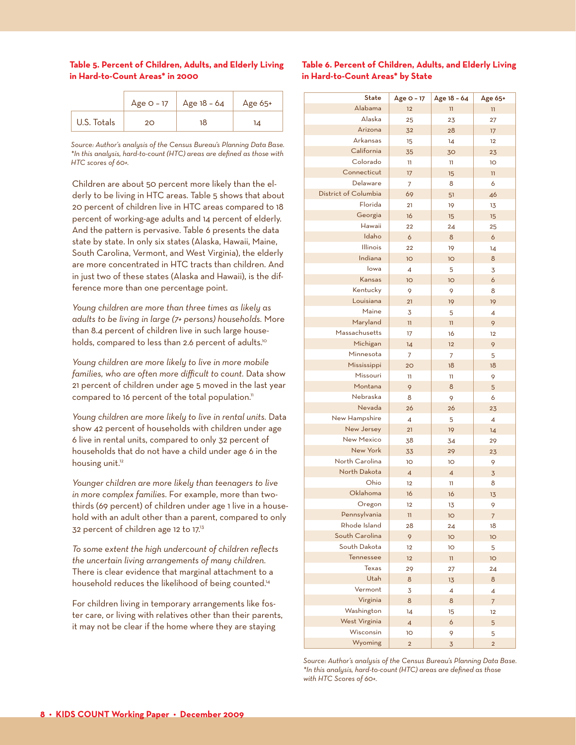#### **Table 5. Percent of Children, Adults, and Elderly Living in Hard-to-Count Areas\* in 2000**

|             | Age $O - 17$ | Age 18 - 64 | Age $65+$ |
|-------------|--------------|-------------|-----------|
| U.S. Totals | 20           | 18          | 14        |

*Source: Author's analysis of the Census Bureau's Planning Data Base. \*In this analysis, hard-to-count (HTC) areas are defined as those with HTC scores of 60+.*

Children are about 50 percent more likely than the elderly to be living in HTC areas. Table 5 shows that about 20 percent of children live in HTC areas compared to 18 percent of working-age adults and 14 percent of elderly. And the pattern is pervasive. Table 6 presents the data state by state. In only six states (Alaska, Hawaii, Maine, South Carolina, Vermont, and West Virginia), the elderly are more concentrated in HTC tracts than children. And in just two of these states (Alaska and Hawaii), is the difference more than one percentage point.

*Young children are more than three times as likely as adults to be living in large (7+ persons) households.* More than 8.4 percent of children live in such large households, compared to less than 2.6 percent of adults.<sup>10</sup>

*Young children are more likely to live in more mobile families, who are often more difficult to count.* Data show 21 percent of children under age 5 moved in the last year compared to 16 percent of the total population.<sup>11</sup>

*Young children are more likely to live in rental units.* Data show 42 percent of households with children under age 6 live in rental units, compared to only 32 percent of households that do not have a child under age 6 in the housing unit.<sup>12</sup>

*Younger children are more likely than teenagers to live in more complex families.* For example, more than twothirds (69 percent) of children under age 1 live in a household with an adult other than a parent, compared to only 32 percent of children age 12 to 17.13

*To some extent the high undercount of children reflects the uncertain living arrangements of many children.*  There is clear evidence that marginal attachment to a household reduces the likelihood of being counted.<sup>14</sup>

For children living in temporary arrangements like foster care, or living with relatives other than their parents, it may not be clear if the home where they are staying

#### **Table 6. Percent of Children, Adults, and Elderly Living in Hard-to-Count Areas\* by State**

| <b>State</b>         | Age O - 17      | Age 18 - 64     | Age 65+                 |
|----------------------|-----------------|-----------------|-------------------------|
| Alabama              | 12              | $\overline{11}$ | $\overline{1}$          |
| Alaska               | 25              | 23              | 27                      |
| Arizona              | 32              | 28              | 17                      |
| <b>Arkansas</b>      | 15              | 14              | 12                      |
| California           | 35              | 30              | 23                      |
| Colorado             | 11              | 11              | 1O                      |
| Connecticut          | 17              | 15              | $\overline{\mathbf{u}}$ |
| Delaware             | 7               | 8               | 6                       |
| District of Columbia | 69              | 51              | 46                      |
| Florida              | 21              | 19              | 13                      |
| Georgia              | 16              | 15              | 15                      |
| Hawaii               | 22              | 24              | 25                      |
| Idaho                | 6               | 8               | 6                       |
| Illinois             | 22              | 19              | 14                      |
| Indiana              | 10 <sub>o</sub> | 10              | 8                       |
| lowa                 | $\overline{4}$  | 5               | 3                       |
| Kansas               | 10 <sub>o</sub> | 10 <sub>o</sub> | 6                       |
| Kentucky             | 9               | 9               | 8                       |
| Louisiana            | 21              | 19              | 19                      |
| Maine                | 3               | 5               | 4                       |
| Maryland             | $\mathbf{1}$    | $\overline{11}$ | 9                       |
| Massachusetts        | 17              | 16              | 12                      |
| Michigan             | 14              | 12              | 9                       |
| Minnesota            | 7               | $\overline{7}$  | 5                       |
| Mississippi          | 20              | 18              | 18                      |
| Missouri             | 11              | 11              | 9                       |
| Montana              | 9               | 8               | 5                       |
| Nebraska             | 8               | 9               | 6                       |
| Nevada               | 26              | 26              | 23                      |
| <b>New Hampshire</b> | $\overline{4}$  | 5               | $\overline{4}$          |
| New Jersey           | 21              | 19              | 14                      |
| <b>New Mexico</b>    | 38              | 34              | 29                      |
| New York             | 33              | 29              | 23                      |
| North Carolina       | 1O              | 10 <sup>°</sup> | 9                       |
| North Dakota         | $\overline{4}$  | $\overline{4}$  | 3                       |
| Ohio                 | 12              | 11              | 8                       |
| Oklahoma             | 16              | 16              | 13                      |
| Oregon               | 12              | 13              | 9                       |
| Pennsylvania         | $\mathbf{u}$    | 10              | $\overline{7}$          |
| Rhode Island         | 28              | 24              | 18                      |
| South Carolina       | 9               | 10 <sub>o</sub> | 10                      |
| South Dakota         | 12              | 1O              |                         |
| Tennessee            | 12              | $\mathbf{H}$    | 5<br>1O                 |
| <b>Texas</b>         |                 |                 |                         |
| Utah                 | 29<br>8         | 27              | 24<br>8                 |
| Vermont              |                 | 13              |                         |
| Virginia             | 3<br>8          | 4<br>8          | 4                       |
| Washington           |                 |                 | $\overline{7}$          |
| West Virginia        | 14              | 15<br>6         | 12                      |
| Wisconsin            | $\overline{4}$  |                 | 5                       |
| Wyoming              | 10              | 9               | 5                       |
|                      | $\overline{2}$  | 3               | $\overline{2}$          |

*Source: Author's analysis of the Census Bureau's Planning Data Base. \*In this analysis, hard-to-count (HTC) areas are defined as those with HTC Scores of 60+.*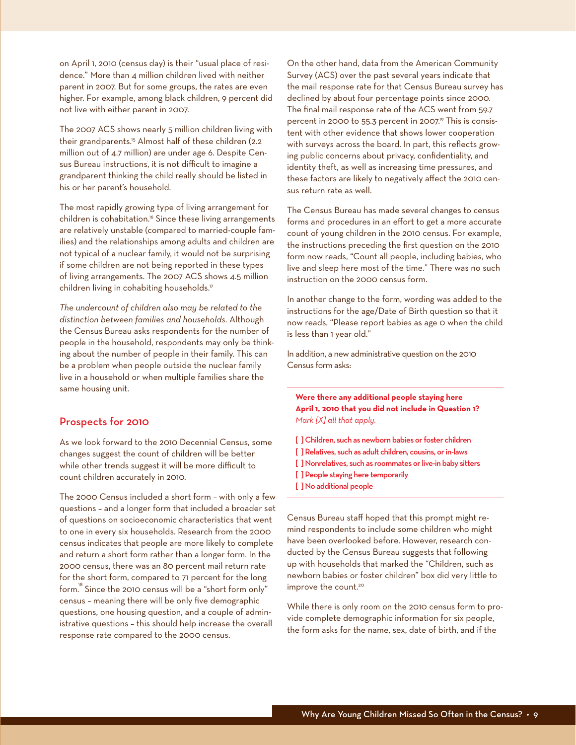on April 1, 2010 (census day) is their "usual place of residence." More than 4 million children lived with neither parent in 2007. But for some groups, the rates are even higher. For example, among black children, 9 percent did not live with either parent in 2007.

The 2007 ACS shows nearly 5 million children living with their grandparents.<sup>15</sup> Almost half of these children (2.2) million out of 4.7 million) are under age 6. Despite Census Bureau instructions, it is not difficult to imagine a grandparent thinking the child really should be listed in his or her parent's household.

The most rapidly growing type of living arrangement for children is cohabitation.<sup>16</sup> Since these living arrangements are relatively unstable (compared to married-couple families) and the relationships among adults and children are not typical of a nuclear family, it would not be surprising if some children are not being reported in these types of living arrangements. The 2007 ACS shows 4.5 million children living in cohabiting households.<sup>17</sup>

*The undercount of children also may be related to the distinction between families and households.* Although the Census Bureau asks respondents for the number of people in the household, respondents may only be thinking about the number of people in their family. This can be a problem when people outside the nuclear family live in a household or when multiple families share the same housing unit.

#### Prospects for 2010

As we look forward to the 2010 Decennial Census, some changes suggest the count of children will be better while other trends suggest it will be more difficult to count children accurately in 2010.

The 2000 Census included a short form – with only a few questions – and a longer form that included a broader set of questions on socioeconomic characteristics that went to one in every six households. Research from the 2000 census indicates that people are more likely to complete and return a short form rather than a longer form. In the 2000 census, there was an 80 percent mail return rate for the short form, compared to 71 percent for the long form.<sup>8</sup> Since the 2010 census will be a "short form only" census – meaning there will be only five demographic questions, one housing question, and a couple of administrative questions – this should help increase the overall response rate compared to the 2000 census.

On the other hand, data from the American Community Survey (ACS) over the past several years indicate that the mail response rate for that Census Bureau survey has declined by about four percentage points since 2000. The final mail response rate of the ACS went from 59.7 percent in 2000 to 55.3 percent in 2007.<sup>19</sup> This is consistent with other evidence that shows lower cooperation with surveys across the board. In part, this reflects growing public concerns about privacy, confidentiality, and identity theft, as well as increasing time pressures, and these factors are likely to negatively affect the 2010 census return rate as well.

The Census Bureau has made several changes to census forms and procedures in an effort to get a more accurate count of young children in the 2010 census. For example, the instructions preceding the first question on the 2010 form now reads, "Count all people, including babies, who live and sleep here most of the time." There was no such instruction on the 2000 census form.

In another change to the form, wording was added to the instructions for the age/Date of Birth question so that it now reads, "Please report babies as age 0 when the child is less than 1 year old."

In addition, a new administrative question on the 2010 Census form asks:

**Were there any additional people staying here April 1, 2010 that you did not include in Question 1?** *Mark [X] all that apply.*

- [ ] Children, such as newborn babies or foster children
- [ ] Relatives, such as adult children, cousins, or in-laws
- [ ] Nonrelatives, such as roommates or live-in baby sitters
- [] People staying here temporarily
- [] No additional people

Census Bureau staff hoped that this prompt might remind respondents to include some children who might have been overlooked before. However, research conducted by the Census Bureau suggests that following up with households that marked the "Children, such as newborn babies or foster children" box did very little to improve the count.<sup>20</sup>

While there is only room on the 2010 census form to provide complete demographic information for six people, the form asks for the name, sex, date of birth, and if the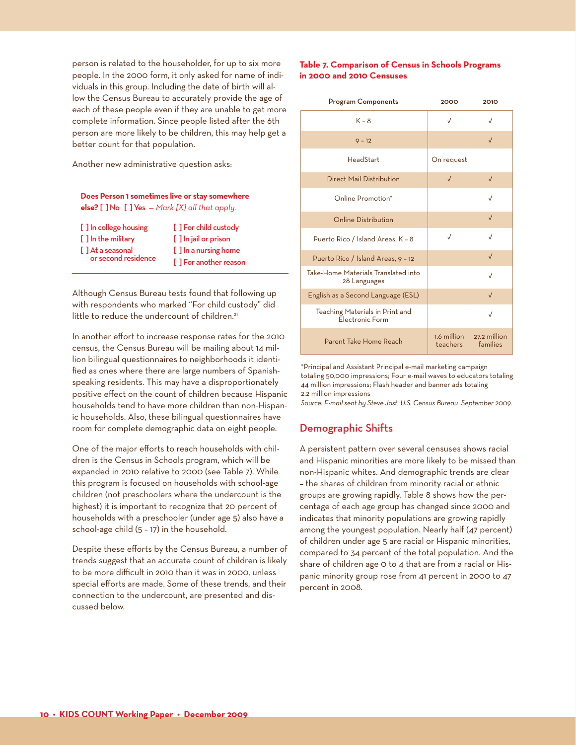person is related to the householder, for up to six more people. In the 2000 form, it only asked for name of individuals in this group. Including the date of birth will allow the Census Bureau to accurately provide the age of each of these people even if they are unable to get more complete information. Since people listed after the 6th person are more likely to be children, this may help get a better count for that population.

Another new administrative question asks:

#### **Does Person 1 sometimes live or stay somewhere else?** [ ] No [ ] Yes *— Mark [X] all that apply.*

[] In college housing [] For child custody [ ] In the military [ ] In jail or prison

[ ] At a seasonal [ ] In a nursing home<br>or second residence [ ] For another reason

Although Census Bureau tests found that following up with respondents who marked "For child custody" did little to reduce the undercount of children.<sup>21</sup>

In another effort to increase response rates for the 2010 census, the Census Bureau will be mailing about 14 million bilingual questionnaires to neighborhoods it identified as ones where there are large numbers of Spanishspeaking residents. This may have a disproportionately positive effect on the count of children because Hispanic households tend to have more children than non-Hispanic households. Also, these bilingual questionnaires have room for complete demographic data on eight people.

One of the major efforts to reach households with children is the Census in Schools program, which will be expanded in 2010 relative to 2000 (see Table 7). While this program is focused on households with school-age children (not preschoolers where the undercount is the highest) it is important to recognize that 20 percent of households with a preschooler (under age 5) also have a school-age child (5 – 17) in the household.

Despite these efforts by the Census Bureau, a number of trends suggest that an accurate count of children is likely to be more difficult in 2010 than it was in 2000, unless special efforts are made. Some of these trends, and their connection to the undercount, are presented and discussed below.

#### **Table 7. Comparison of Census in Schools Programs in 2000 and 2010 Censuses**

| <b>Program Components</b>                           | 2000                    | 2010                     |
|-----------------------------------------------------|-------------------------|--------------------------|
| $K - 8$                                             | $\sqrt{}$               | $\sqrt{}$                |
| $9 - 12$                                            |                         | $\sqrt{}$                |
| HeadStart                                           | On request              |                          |
| <b>Direct Mail Distribution</b>                     | $\sqrt{}$               | $\sqrt{ }$               |
| Online Promotion*                                   |                         | $\sqrt{}$                |
| <b>Online Distribution</b>                          |                         | $\sqrt{}$                |
| Puerto Rico / Island Areas, K - 8                   | $\sqrt{ }$              | $\sqrt{2}$               |
| Puerto Rico / Island Areas, 9 - 12                  |                         | $\sqrt{}$                |
| Take-Home Materials Translated into<br>28 Languages |                         | $\sqrt{2}$               |
| English as a Second Language (ESL)                  |                         | $\sqrt{}$                |
| Teaching Materials in Print and<br>Electronic Form  |                         | $\sqrt{}$                |
| Parent Take Home Reach                              | 1.6 million<br>teachers | 27.2 million<br>families |

\*Principal and Assistant Principal e-mail marketing campaign totaling 50,000 impressions; Four e-mail waves to educators totaling 44 million impressions; Flash header and banner ads totaling 2.2 million impressions

*Source: E-mail sent by Steve Jost, U.S. Census Bureau September 2009.*

#### Demographic Shifts

A persistent pattern over several censuses shows racial and Hispanic minorities are more likely to be missed than non-Hispanic whites. And demographic trends are clear – the shares of children from minority racial or ethnic groups are growing rapidly. Table 8 shows how the percentage of each age group has changed since 2000 and indicates that minority populations are growing rapidly among the youngest population. Nearly half (47 percent) of children under age 5 are racial or Hispanic minorities, compared to 34 percent of the total population. And the share of children age 0 to 4 that are from a racial or Hispanic minority group rose from 41 percent in 2000 to 47 percent in 2008.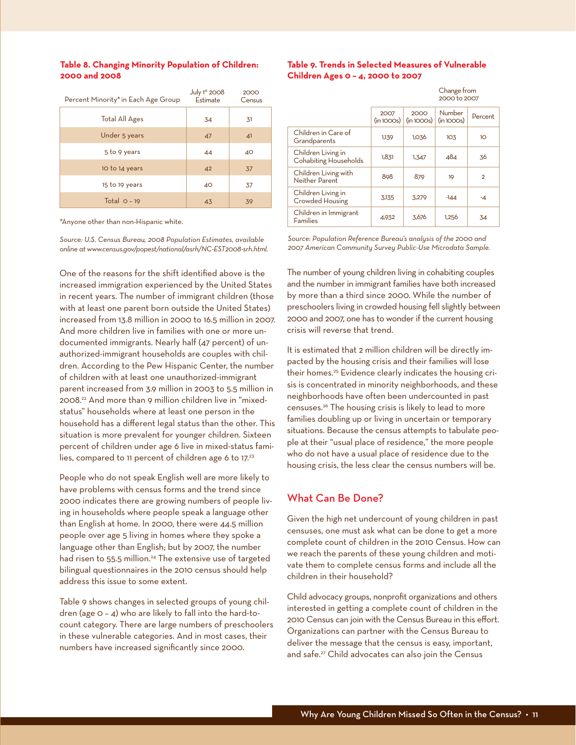#### **Table 8. Changing Minority Population of Children: 2000 and 2008**

| Percent Minority* in Each Age Group | July $1st$ 2008<br>Estimate | 2000<br>Census |
|-------------------------------------|-----------------------------|----------------|
| Total All Ages                      | 34                          | 31             |
| Under 5 years                       | 47                          | 41             |
| 5 to 9 years                        | 44                          | 40             |
| 10 to 14 years                      | 42                          | 37             |
| 15 to 19 years                      | 40                          | 37             |
| Total $Q - 19$                      | 43                          | 39             |

\*Anyone other than non-Hispanic white.

*Source: U.S. Census Bureau, 2008 Population Estimates, available online at www.census.gov/popest/national/asrh/NC-EST2008-srh.html.*

One of the reasons for the shift identified above is the increased immigration experienced by the United States in recent years. The number of immigrant children (those with at least one parent born outside the United States) increased from 13.8 million in 2000 to 16.5 million in 2007. And more children live in families with one or more undocumented immigrants. Nearly half (47 percent) of unauthorized-immigrant households are couples with children. According to the Pew Hispanic Center, the number of children with at least one unauthorized-immigrant parent increased from 3.9 million in 2003 to 5.5 million in 2008.22 And more than 9 million children live in "mixedstatus" households where at least one person in the household has a different legal status than the other. This situation is more prevalent for younger children. Sixteen percent of children under age 6 live in mixed-status families, compared to 11 percent of children age 6 to 17.<sup>23</sup>

People who do not speak English well are more likely to have problems with census forms and the trend since 2000 indicates there are growing numbers of people living in households where people speak a language other than English at home. In 2000, there were 44.5 million people over age 5 living in homes where they spoke a language other than English; but by 2007, the number had risen to 55.5 million.<sup>24</sup> The extensive use of targeted bilingual questionnaires in the 2010 census should help address this issue to some extent.

Table 9 shows changes in selected groups of young children (age 0 – 4) who are likely to fall into the hard-tocount category. There are large numbers of preschoolers in these vulnerable categories. And in most cases, their numbers have increased significantly since 2000.

#### **Table 9. Trends in Selected Measures of Vulnerable Children Ages 0 – 4, 2000 to 2007**

|                                                    | Change from<br>2000 to 2007 |                   |                     |                |
|----------------------------------------------------|-----------------------------|-------------------|---------------------|----------------|
|                                                    | 2007<br>(in1000s)           | 2000<br>(in1000s) | Number<br>(in1000s) | Percent        |
| Children in Care of<br>Grandparents                | 1,139                       | 1,036             | 103                 | 10             |
| Children Living in<br><b>Cohabiting Households</b> | 1,831                       | 1,347             | 484                 | .36            |
| Children Living with<br>Neither Parent             | 898                         | 879               | 19                  | $\overline{2}$ |
| Children Living in<br><b>Crowded Housing</b>       | 3.135                       | 3.279             | $-144$              | -4             |
| Children in Immigrant<br><b>Families</b>           | 4.932                       | 3.676             | 1,256               | 34             |

*Source: Population Reference Bureau's analysis of the 2000 and 2007 American Community Survey Public-Use Microdata Sample.*

The number of young children living in cohabiting couples and the number in immigrant families have both increased by more than a third since 2000. While the number of preschoolers living in crowded housing fell slightly between 2000 and 2007, one has to wonder if the current housing crisis will reverse that trend.

It is estimated that 2 million children will be directly impacted by the housing crisis and their families will lose their homes.<sup>25</sup> Evidence clearly indicates the housing crisis is concentrated in minority neighborhoods, and these neighborhoods have often been undercounted in past censuses.26 The housing crisis is likely to lead to more families doubling up or living in uncertain or temporary situations. Because the census attempts to tabulate people at their "usual place of residence," the more people who do not have a usual place of residence due to the housing crisis, the less clear the census numbers will be.

#### What Can Be Done?

Given the high net undercount of young children in past censuses, one must ask what can be done to get a more complete count of children in the 2010 Census. How can we reach the parents of these young children and motivate them to complete census forms and include all the children in their household?

Child advocacy groups, nonprofit organizations and others interested in getting a complete count of children in the 2010 Census can join with the Census Bureau in this effort. Organizations can partner with the Census Bureau to deliver the message that the census is easy, important, and safe.<sup>27</sup> Child advocates can also join the Census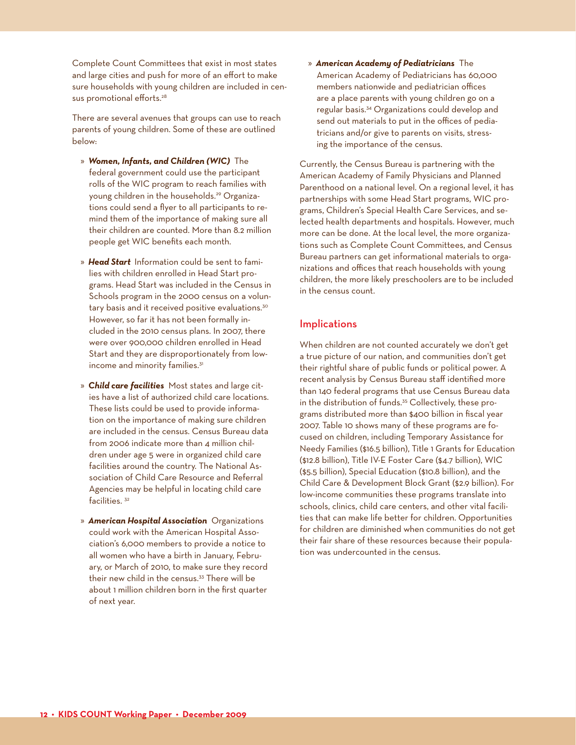Complete Count Committees that exist in most states and large cities and push for more of an effort to make sure households with young children are included in census promotional efforts.<sup>28</sup>

There are several avenues that groups can use to reach parents of young children. Some of these are outlined below:

- » *Women, Infants, and Children (WIC)* The federal government could use the participant rolls of the WIC program to reach families with young children in the households.29 Organizations could send a flyer to all participants to remind them of the importance of making sure all their children are counted. More than 8.2 million people get WIC benefits each month.
- » *Head Start* Information could be sent to families with children enrolled in Head Start programs. Head Start was included in the Census in Schools program in the 2000 census on a voluntary basis and it received positive evaluations.<sup>30</sup> However, so far it has not been formally included in the 2010 census plans. In 2007, there were over 900,000 children enrolled in Head Start and they are disproportionately from lowincome and minority families.<sup>31</sup>
- » *Child care facilities* Most states and large cities have a list of authorized child care locations. These lists could be used to provide information on the importance of making sure children are included in the census. Census Bureau data from 2006 indicate more than 4 million children under age 5 were in organized child care facilities around the country. The National Association of Child Care Resource and Referral Agencies may be helpful in locating child care facilities.<sup>32</sup>
- » *American Hospital Association* Organizations could work with the American Hospital Association's 6,000 members to provide a notice to all women who have a birth in January, February, or March of 2010, to make sure they record their new child in the census.<sup>33</sup> There will be about 1 million children born in the first quarter of next year.

» *American Academy of Pediatricians* The American Academy of Pediatricians has 60,000 members nationwide and pediatrician offices are a place parents with young children go on a regular basis.34 Organizations could develop and send out materials to put in the offices of pediatricians and/or give to parents on visits, stressing the importance of the census.

Currently, the Census Bureau is partnering with the American Academy of Family Physicians and Planned Parenthood on a national level. On a regional level, it has partnerships with some Head Start programs, WIC programs, Children's Special Health Care Services, and selected health departments and hospitals. However, much more can be done. At the local level, the more organizations such as Complete Count Committees, and Census Bureau partners can get informational materials to organizations and offices that reach households with young children, the more likely preschoolers are to be included in the census count.

#### Implications

When children are not counted accurately we don't get a true picture of our nation, and communities don't get their rightful share of public funds or political power. A recent analysis by Census Bureau staff identified more than 140 federal programs that use Census Bureau data in the distribution of funds.<sup>35</sup> Collectively, these programs distributed more than \$400 billion in fiscal year 2007. Table 10 shows many of these programs are focused on children, including Temporary Assistance for Needy Families (\$16.5 billion), Title 1 Grants for Education (\$12.8 billion), Title IV-E Foster Care (\$4.7 billion), WIC (\$5.5 billion), Special Education (\$10.8 billion), and the Child Care & Development Block Grant (\$2.9 billion). For low-income communities these programs translate into schools, clinics, child care centers, and other vital facilities that can make life better for children. Opportunities for children are diminished when communities do not get their fair share of these resources because their population was undercounted in the census.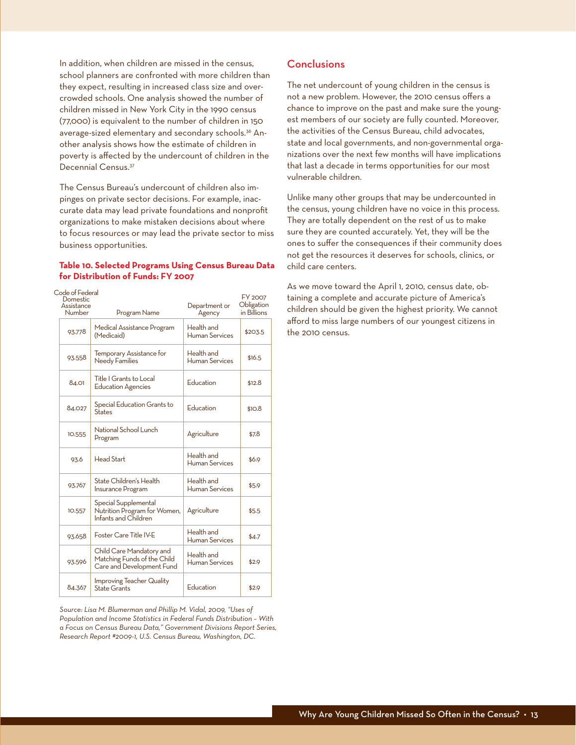In addition, when children are missed in the census, school planners are confronted with more children than they expect, resulting in increased class size and overcrowded schools. One analysis showed the number of children missed in New York City in the 1990 census (77,000) is equivalent to the number of children in 150 average-sized elementary and secondary schools.<sup>36</sup> Another analysis shows how the estimate of children in poverty is affected by the undercount of children in the Decennial Census.37

The Census Bureau's undercount of children also impinges on private sector decisions. For example, inaccurate data may lead private foundations and nonprofit organizations to make mistaken decisions about where to focus resources or may lead the private sector to miss business opportunities.

#### **Table 10. Selected Programs Using Census Bureau Data for Distribution of Funds: FY 2007**

| Code of Federal<br>Domestic<br>Assistance<br>Number | Program Name                                                                         | Department or<br>Agency             | FY 2007<br>Obligation<br>in Billions |
|-----------------------------------------------------|--------------------------------------------------------------------------------------|-------------------------------------|--------------------------------------|
| 93.778                                              | Medical Assistance Program<br>(Medicaid)                                             | Health and<br><b>Human Services</b> | \$203.5                              |
| 93.558                                              | Temporary Assistance for<br><b>Needy Families</b>                                    | Health and<br><b>Human Services</b> | \$16.5                               |
| 84.01                                               | Title   Grants to Local<br><b>Education Agencies</b>                                 | Education                           | \$12.8                               |
| 84.027                                              | Special Education Grants to<br><b>States</b>                                         | Education                           | \$10.8                               |
| 10.555                                              | National School Lunch<br>Program                                                     | Agriculture                         | \$7.8                                |
| 93.6                                                | Head Start                                                                           | Health and<br>Human Services        | \$6.9                                |
| 93.767                                              | State Children's Health<br><b>Insurance Program</b>                                  | Health and<br><b>Human Services</b> | \$5.9                                |
| 10.557                                              | Special Supplemental<br>Nutrition Program for Women,<br>Infants and Children         | Agriculture                         | \$5.5                                |
| 93.658                                              | Foster Care Title IV-E                                                               | Health and<br>Human Services        | \$4.7                                |
| 93.596                                              | Child Care Mandatory and<br>Matching Funds of the Child<br>Care and Development Fund | Health and<br>Human Services        | \$2.9                                |
| 84.367                                              | <b>Improving Teacher Quality</b><br>State Grants                                     | Education                           | \$2.9                                |

*Source: Lisa M. Blumerman and Phillip M. Vidal, 2009, "Uses of Population and Income Statistics in Federal Funds Distribution – With a Focus on Census Bureau Data," Government Divisions Report Series, Research Report #2009-1, U.S. Census Bureau, Washington, DC.* 

#### Conclusions

The net undercount of young children in the census is not a new problem. However, the 2010 census offers a chance to improve on the past and make sure the youngest members of our society are fully counted. Moreover, the activities of the Census Bureau, child advocates, state and local governments, and non-governmental organizations over the next few months will have implications that last a decade in terms opportunities for our most vulnerable children.

Unlike many other groups that may be undercounted in the census, young children have no voice in this process. They are totally dependent on the rest of us to make sure they are counted accurately. Yet, they will be the ones to suffer the consequences if their community does not get the resources it deserves for schools, clinics, or child care centers.

As we move toward the April 1, 2010, census date, obtaining a complete and accurate picture of America's children should be given the highest priority. We cannot afford to miss large numbers of our youngest citizens in the 2010 census.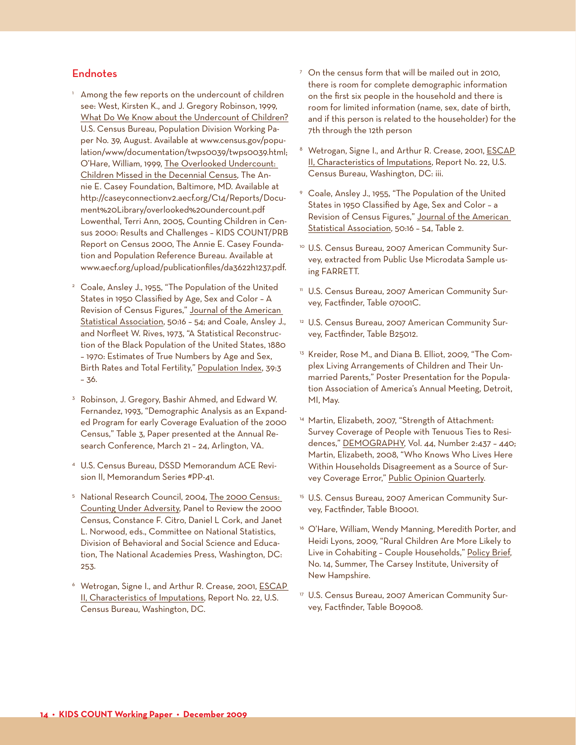#### Endnotes

- <sup>1</sup> Among the few reports on the undercount of children see: West, Kirsten K., and J. Gregory Robinson, 1999, What Do We Know about the Undercount of Children? U.S. Census Bureau, Population Division Working Paper No. 39, August. Available at www.census.gov/population/www/documentation/twps0039/twps0039.html; O'Hare, William, 1999, The Overlooked Undercount: Children Missed in the Decennial Census, The Annie E. Casey Foundation, Baltimore, MD. Available at http://caseyconnectionv2.aecf.org/C14/Reports/Document%20Library/overlooked%20undercount.pdf Lowenthal, Terri Ann, 2005, Counting Children in Census 2000: Results and Challenges – KIDS COUNT/PRB Report on Census 2000, The Annie E. Casey Foundation and Population Reference Bureau. Available at www.aecf.org/upload/publicationfiles/da3622h1237.pdf.
- <sup>2</sup> Coale, Ansley J., 1955, "The Population of the United States in 1950 Classified by Age, Sex and Color – A Revision of Census Figures," Journal of the American Statistical Association, 50:16 – 54; and Coale, Ansley J., and Norfleet W. Rives, 1973, "A Statistical Reconstruction of the Black Population of the United States, 1880 – 1970: Estimates of True Numbers by Age and Sex, Birth Rates and Total Fertility," Population Index, 39:3 – 36.
- <sup>3</sup> Robinson, J. Gregory, Bashir Ahmed, and Edward W. Fernandez, 1993, "Demographic Analysis as an Expanded Program for early Coverage Evaluation of the 2000 Census," Table 3, Paper presented at the Annual Research Conference, March 21 – 24, Arlington, VA.
- <sup>4</sup> U.S. Census Bureau, DSSD Memorandum ACE Revision II, Memorandum Series #PP-41.
- <sup>5</sup> National Research Council, 2004, The 2000 Census: Counting Under Adversity, Panel to Review the 2000 Census, Constance F. Citro, Daniel L Cork, and Janet L. Norwood, eds., Committee on National Statistics, Division of Behavioral and Social Science and Education, The National Academies Press, Washington, DC: 253.
- <sup>6</sup> Wetrogan, Signe I., and Arthur R. Crease, 2001, ESCAP II, Characteristics of Imputations, Report No. 22, U.S. Census Bureau, Washington, DC.
- $\frac{7}{7}$  On the census form that will be mailed out in 2010, there is room for complete demographic information on the first six people in the household and there is room for limited information (name, sex, date of birth, and if this person is related to the householder) for the 7th through the 12th person
- <sup>8</sup> Wetrogan, Signe I., and Arthur R. Crease, 2001, **ESCAP** II, Characteristics of Imputations, Report No. 22, U.S. Census Bureau, Washington, DC: iii.
- <sup>9</sup> Coale, Ansley J., 1955, "The Population of the United States in 1950 Classified by Age, Sex and Color – a Revision of Census Figures," Journal of the American Statistical Association, 50:16 – 54, Table 2.
- <sup>10</sup> U.S. Census Bureau, 2007 American Community Survey, extracted from Public Use Microdata Sample using FARRETT.
- <sup>n</sup> U.S. Census Bureau, 2007 American Community Survey, Factfinder, Table 07001C.
- <sup>12</sup> U.S. Census Bureau, 2007 American Community Survey, Factfinder, Table B25012.
- <sup>13</sup> Kreider, Rose M., and Diana B. Elliot, 2009, "The Complex Living Arrangements of Children and Their Unmarried Parents," Poster Presentation for the Population Association of America's Annual Meeting, Detroit, MI, May.
- <sup>14</sup> Martin, Elizabeth, 2007, "Strength of Attachment: Survey Coverage of People with Tenuous Ties to Residences," DEMOGRAPHY, Vol. 44, Number 2:437 – 440; Martin, Elizabeth, 2008, "Who Knows Who Lives Here Within Households Disagreement as a Source of Survey Coverage Error," Public Opinion Quarterly.
- <sup>15</sup> U.S. Census Bureau, 2007 American Community Survey, Factfinder, Table B10001.
- <sup>16</sup> O'Hare, William, Wendy Manning, Meredith Porter, and Heidi Lyons, 2009, "Rural Children Are More Likely to Live in Cohabiting – Couple Households," Policy Brief, No. 14, Summer, The Carsey Institute, University of New Hampshire.
- <sup>17</sup> U.S. Census Bureau, 2007 American Community Survey, Factfinder, Table B09008.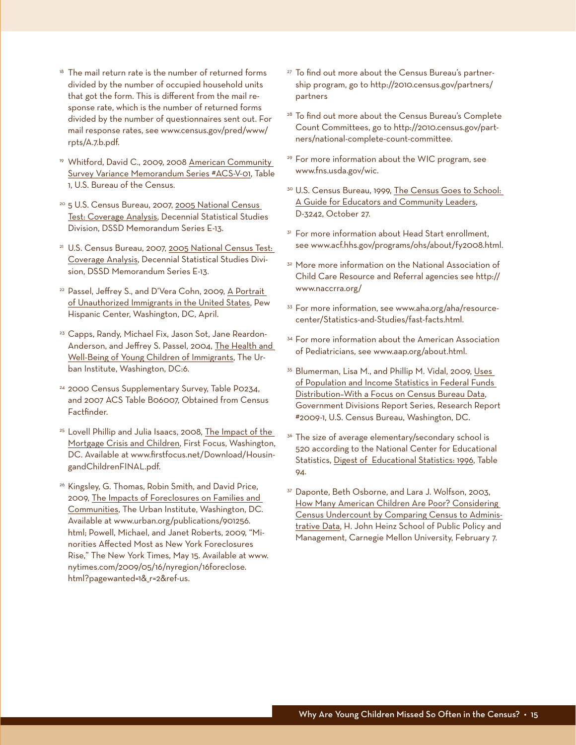- $18$  The mail return rate is the number of returned forms divided by the number of occupied household units that got the form. This is different from the mail response rate, which is the number of returned forms divided by the number of questionnaires sent out. For mail response rates, see www.census.gov/pred/www/ rpts/A.7.b.pdf.
- <sup>19</sup> Whitford, David C., 2009, 2008 American Community Survey Variance Memorandum Series #ACS-V-01, Table 1, U.S. Bureau of the Census.
- <sup>20</sup> 5 U.S. Census Bureau, 2007, 2005 National Census Test: Coverage Analysis, Decennial Statistical Studies Division, DSSD Memorandum Series E-13.
- <sup>21</sup> U.S. Census Bureau, 2007, 2005 National Census Test: Coverage Analysis, Decennial Statistical Studies Division, DSSD Memorandum Series E-13.
- <sup>22</sup> Passel, Jeffrey S., and D'Vera Cohn, 2009, A Portrait of Unauthorized Immigrants in the United States, Pew Hispanic Center, Washington, DC, April.
- <sup>23</sup> Capps, Randy, Michael Fix, Jason Sot, Jane Reardon-Anderson, and Jeffrey S. Passel, 2004, The Health and Well-Being of Young Children of Immigrants, The Urban Institute, Washington, DC:6.
- <sup>24</sup> 2000 Census Supplementary Survey, Table P0234, and 2007 ACS Table B06007, Obtained from Census Factfinder.
- <sup>25</sup> Lovell Phillip and Julia Isaacs, 2008, The Impact of the Mortgage Crisis and Children, First Focus, Washington, DC. Available at www.firstfocus.net/Download/HousingandChildrenFINAL.pdf.
- <sup>26</sup> Kingsley, G. Thomas, Robin Smith, and David Price, 2009, The Impacts of Foreclosures on Families and Communities, The Urban Institute, Washington, DC. Available at www.urban.org/publications/901256. html; Powell, Michael, and Janet Roberts, 2009, "Minorities Affected Most as New York Foreclosures Rise," The New York Times, May 15. Available at www. nytimes.com/2009/05/16/nyregion/16foreclose. html?pagewanted=1& r=2&ref-us.
- <sup>27</sup> To find out more about the Census Bureau's partnership program, go to http://2010.census.gov/partners/ partners
- <sup>28</sup> To find out more about the Census Bureau's Complete Count Committees, go to http://2010.census.gov/partners/national-complete-count-committee.
- <sup>29</sup> For more information about the WIC program, see www.fns.usda.gov/wic.
- 30 U.S. Census Bureau, 1999, The Census Goes to School: A Guide for Educators and Community Leaders, D-3242, October 27.
- <sup>31</sup> For more information about Head Start enrollment, see www.acf.hhs.gov/programs/ohs/about/fy2008.html.
- <sup>32</sup> More more information on the National Association of Child Care Resource and Referral agencies see http:// www.naccrra.org/
- <sup>33</sup> For more information, see www.aha.org/aha/resourcecenter/Statistics-and-Studies/fast-facts.html.
- <sup>34</sup> For more information about the American Association of Pediatricians, see www.aap.org/about.html.
- <sup>35</sup> Blumerman, Lisa M., and Phillip M. Vidal, 2009, Uses of Population and Income Statistics in Federal Funds Distribution–With a Focus on Census Bureau Data, Government Divisions Report Series, Research Report #2009-1, U.S. Census Bureau, Washington, DC.
- <sup>36</sup> The size of average elementary/secondary school is 520 according to the National Center for Educational Statistics, Digest of Educational Statistics: 1996, Table 94.
- <sup>37</sup> Daponte, Beth Osborne, and Lara J. Wolfson, 2003, How Many American Children Are Poor? Considering Census Undercount by Comparing Census to Administrative Data, H. John Heinz School of Public Policy and Management, Carnegie Mellon University, February 7.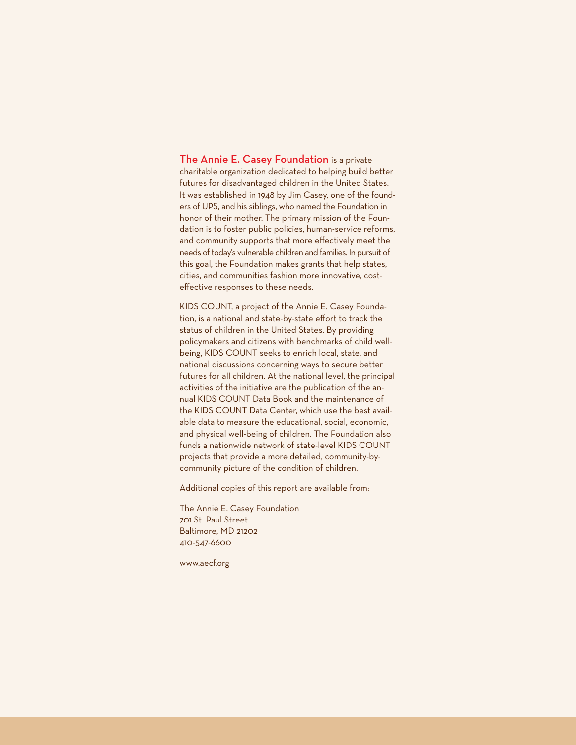The Annie E. Casey Foundation is a private charitable organization dedicated to helping build better futures for disadvantaged children in the United States. It was established in 1948 by Jim Casey, one of the founders of UPS, and his siblings, who named the Foundation in honor of their mother. The primary mission of the Foundation is to foster public policies, human-service reforms, and community supports that more effectively meet the needs of today's vulnerable children and families. In pursuit of this goal, the Foundation makes grants that help states, cities, and communities fashion more innovative, costeffective responses to these needs.

KIDS COUNT, a project of the Annie E. Casey Foundation, is a national and state-by-state effort to track the status of children in the United States. By providing policymakers and citizens with benchmarks of child wellbeing, KIDS COUNT seeks to enrich local, state, and national discussions concerning ways to secure better futures for all children. At the national level, the principal activities of the initiative are the publication of the annual KIDS COUNT Data Book and the maintenance of the KIDS COUNT Data Center, which use the best available data to measure the educational, social, economic, and physical well-being of children. The Foundation also funds a nationwide network of state-level KIDS COUNT projects that provide a more detailed, community-bycommunity picture of the condition of children.

Additional copies of this report are available from:

The Annie E. Casey Foundation 701 St. Paul Street Baltimore, MD 21202 410-547-6600

www.aecf.org